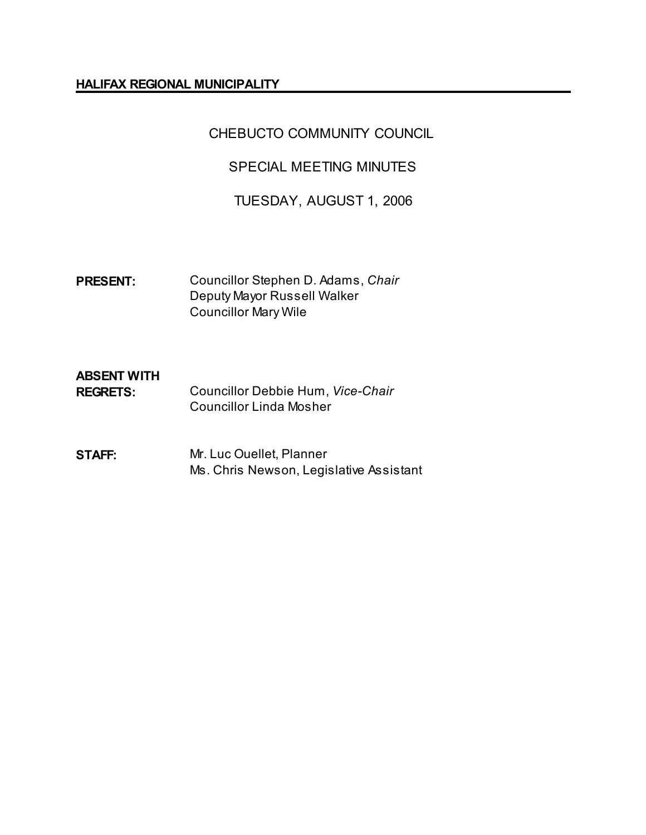#### **HALIFAX REGIONAL MUNICIPALITY**

## CHEBUCTO COMMUNITY COUNCIL

## SPECIAL MEETING MINUTES

## TUESDAY, AUGUST 1, 2006

**PRESENT:** Councillor Stephen D. Adams, *Chair* Deputy Mayor Russell Walker Councillor Mary Wile

# **ABSENT WITH**

- **REGRETS:** Councillor Debbie Hum, *Vice-Chair* Councillor Linda Mosher
- **STAFF:** Mr. Luc Ouellet, Planner Ms. Chris Newson, Legislative Assistant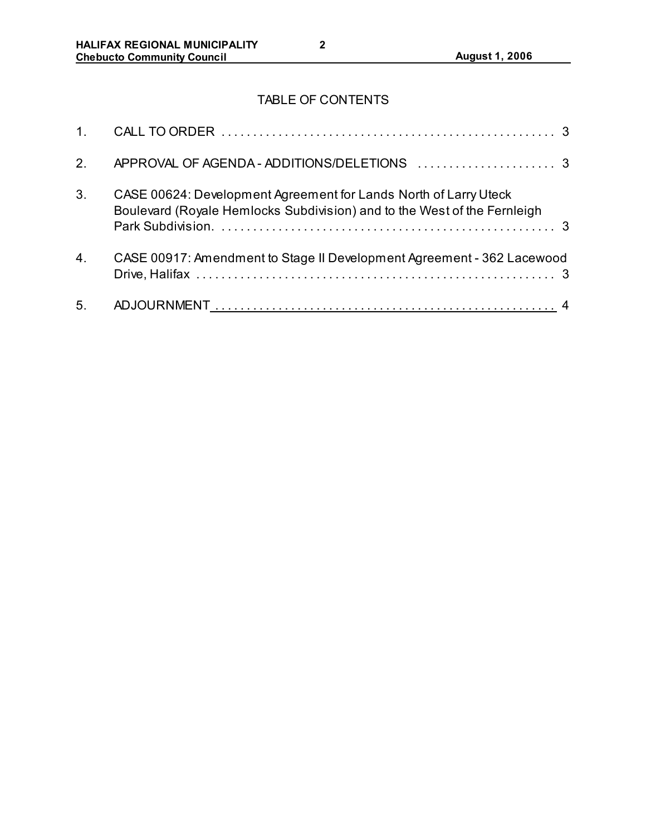# TABLE OF CONTENTS

| 2 <sub>1</sub> |                                                                                                                                              |  |
|----------------|----------------------------------------------------------------------------------------------------------------------------------------------|--|
| 3.             | CASE 00624: Development Agreement for Lands North of Larry Uteck<br>Boulevard (Royale Hemlocks Subdivision) and to the West of the Fernleigh |  |
| 4.             | CASE 00917: Amendment to Stage II Development Agreement - 362 Lacewood                                                                       |  |
| 5 <sub>1</sub> |                                                                                                                                              |  |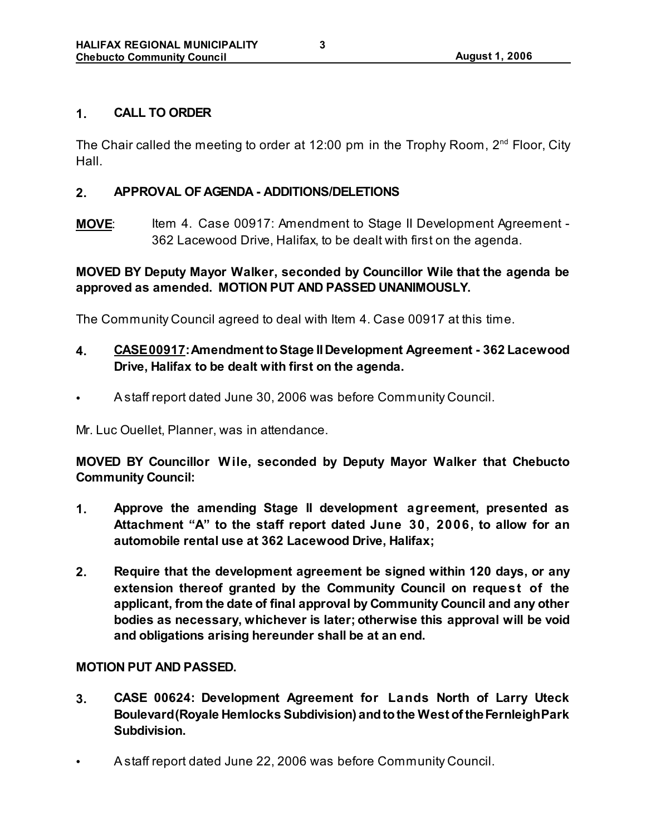### **1. CALL TO ORDER**

The Chair called the meeting to order at 12:00 pm in the Trophy Room,  $2^{nd}$  Floor, City Hall.

### **2. APPROVAL OF AGENDA - ADDITIONS/DELETIONS**

**MOVE:** Item 4. Case 00917: Amendment to Stage II Development Agreement -362 Lacewood Drive, Halifax, to be dealt with first on the agenda.

## **MOVED BY Deputy Mayor Walker, seconded by Councillor Wile that the agenda be approved as amended. MOTION PUT AND PASSED UNANIMOUSLY.**

The Community Council agreed to deal with Item 4. Case 00917 at this time.

## **4. CASE 00917:Amendment to Stage II Development Agreement - 362 Lacewood Drive, Halifax to be dealt with first on the agenda.**

• A staff report dated June 30, 2006 was before Community Council.

Mr. Luc Ouellet, Planner, was in attendance.

**MOVED BY Councillor W ile, seconded by Deputy Mayor Walker that Chebucto Community Council:**

- **1. Approve the amending Stage II development agreement, presented as Attachment "A" to the staff report dated June 30, 2006, to allow for an automobile rental use at 362 Lacewood Drive, Halifax;**
- **2. Require that the development agreement be signed within 120 days, or any extension thereof granted by the Community Council on request of the applicant, from the date of final approval by Community Council and any other bodies as necessary, whichever is later; otherwise this approval will be void and obligations arising hereunder shall be at an end.**

#### **MOTION PUT AND PASSED.**

- **3. CASE 00624: Development Agreement for Lands North of Larry Uteck Boulevard (Royale Hemlocks Subdivision) and to the West of the Fernleigh Park Subdivision.**
- A staff report dated June 22, 2006 was before Community Council.